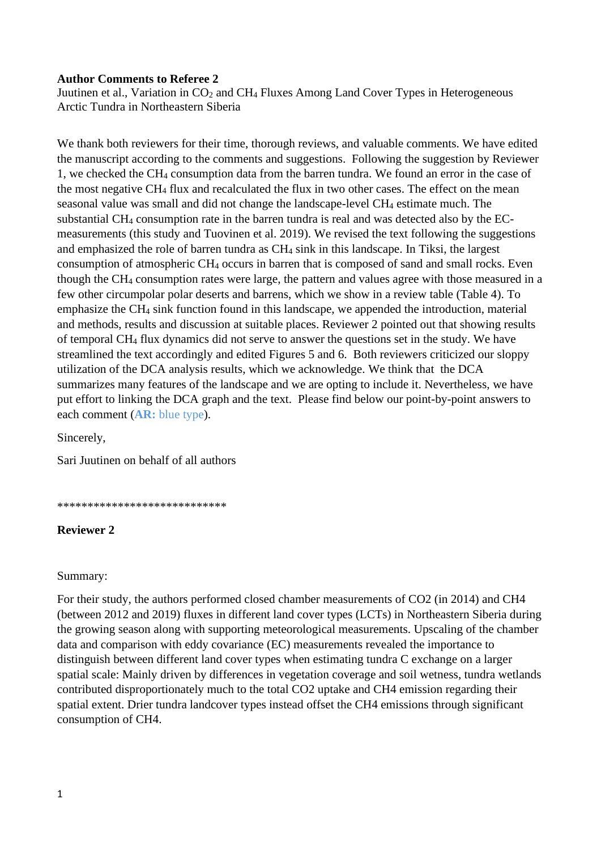## **Author Comments to Referee 2**

Juutinen et al., Variation in CO<sub>2</sub> and CH<sub>4</sub> Fluxes Among Land Cover Types in Heterogeneous Arctic Tundra in Northeastern Siberia

We thank both reviewers for their time, thorough reviews, and valuable comments. We have edited the manuscript according to the comments and suggestions. Following the suggestion by Reviewer 1, we checked the CH<sup>4</sup> consumption data from the barren tundra. We found an error in the case of the most negative CH<sup>4</sup> flux and recalculated the flux in two other cases. The effect on the mean seasonal value was small and did not change the landscape-level CH<sup>4</sup> estimate much. The substantial CH<sup>4</sup> consumption rate in the barren tundra is real and was detected also by the ECmeasurements (this study and Tuovinen et al. 2019). We revised the text following the suggestions and emphasized the role of barren tundra as CH<sup>4</sup> sink in this landscape. In Tiksi, the largest consumption of atmospheric CH<sup>4</sup> occurs in barren that is composed of sand and small rocks. Even though the CH<sup>4</sup> consumption rates were large, the pattern and values agree with those measured in a few other circumpolar polar deserts and barrens, which we show in a review table (Table 4). To emphasize the CH<sup>4</sup> sink function found in this landscape, we appended the introduction, material and methods, results and discussion at suitable places. Reviewer 2 pointed out that showing results of temporal CH<sup>4</sup> flux dynamics did not serve to answer the questions set in the study. We have streamlined the text accordingly and edited Figures 5 and 6. Both reviewers criticized our sloppy utilization of the DCA analysis results, which we acknowledge. We think that the DCA summarizes many features of the landscape and we are opting to include it. Nevertheless, we have put effort to linking the DCA graph and the text. Please find below our point-by-point answers to each comment (**AR:** blue type).

Sincerely,

Sari Juutinen on behalf of all authors

\*\*\*\*\*\*\*\*\*\*\*\*\*\*\*\*\*\*\*\*\*\*\*\*\*\*\*\*

# **Reviewer 2**

### Summary:

For their study, the authors performed closed chamber measurements of CO2 (in 2014) and CH4 (between 2012 and 2019) fluxes in different land cover types (LCTs) in Northeastern Siberia during the growing season along with supporting meteorological measurements. Upscaling of the chamber data and comparison with eddy covariance (EC) measurements revealed the importance to distinguish between different land cover types when estimating tundra C exchange on a larger spatial scale: Mainly driven by differences in vegetation coverage and soil wetness, tundra wetlands contributed disproportionately much to the total CO2 uptake and CH4 emission regarding their spatial extent. Drier tundra landcover types instead offset the CH4 emissions through significant consumption of CH4.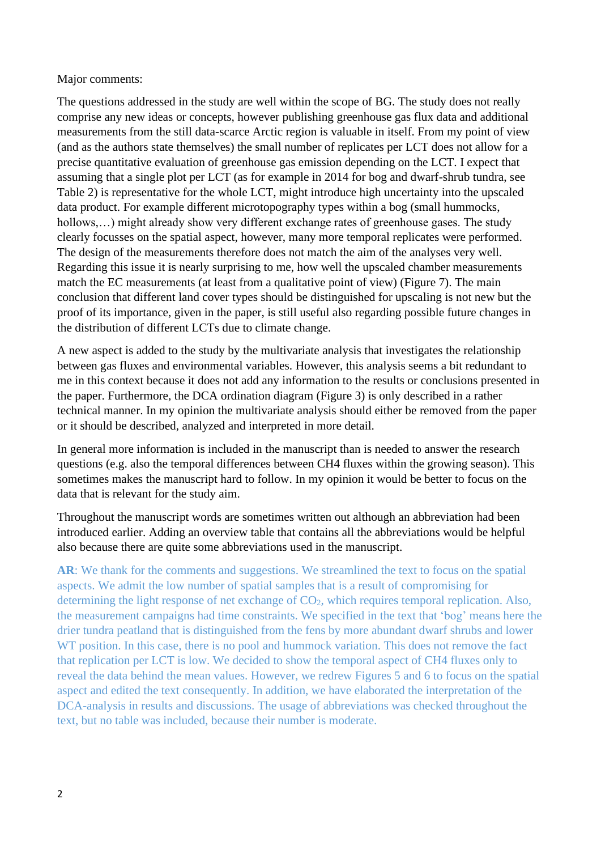## Major comments:

The questions addressed in the study are well within the scope of BG. The study does not really comprise any new ideas or concepts, however publishing greenhouse gas flux data and additional measurements from the still data-scarce Arctic region is valuable in itself. From my point of view (and as the authors state themselves) the small number of replicates per LCT does not allow for a precise quantitative evaluation of greenhouse gas emission depending on the LCT. I expect that assuming that a single plot per LCT (as for example in 2014 for bog and dwarf-shrub tundra, see Table 2) is representative for the whole LCT, might introduce high uncertainty into the upscaled data product. For example different microtopography types within a bog (small hummocks, hollows,...) might already show very different exchange rates of greenhouse gases. The study clearly focusses on the spatial aspect, however, many more temporal replicates were performed. The design of the measurements therefore does not match the aim of the analyses very well. Regarding this issue it is nearly surprising to me, how well the upscaled chamber measurements match the EC measurements (at least from a qualitative point of view) (Figure 7). The main conclusion that different land cover types should be distinguished for upscaling is not new but the proof of its importance, given in the paper, is still useful also regarding possible future changes in the distribution of different LCTs due to climate change.

A new aspect is added to the study by the multivariate analysis that investigates the relationship between gas fluxes and environmental variables. However, this analysis seems a bit redundant to me in this context because it does not add any information to the results or conclusions presented in the paper. Furthermore, the DCA ordination diagram (Figure 3) is only described in a rather technical manner. In my opinion the multivariate analysis should either be removed from the paper or it should be described, analyzed and interpreted in more detail.

In general more information is included in the manuscript than is needed to answer the research questions (e.g. also the temporal differences between CH4 fluxes within the growing season). This sometimes makes the manuscript hard to follow. In my opinion it would be better to focus on the data that is relevant for the study aim.

Throughout the manuscript words are sometimes written out although an abbreviation had been introduced earlier. Adding an overview table that contains all the abbreviations would be helpful also because there are quite some abbreviations used in the manuscript.

AR: We thank for the comments and suggestions. We streamlined the text to focus on the spatial aspects. We admit the low number of spatial samples that is a result of compromising for determining the light response of net exchange of  $CO<sub>2</sub>$ , which requires temporal replication. Also, the measurement campaigns had time constraints. We specified in the text that 'bog' means here the drier tundra peatland that is distinguished from the fens by more abundant dwarf shrubs and lower WT position. In this case, there is no pool and hummock variation. This does not remove the fact that replication per LCT is low. We decided to show the temporal aspect of CH4 fluxes only to reveal the data behind the mean values. However, we redrew Figures 5 and 6 to focus on the spatial aspect and edited the text consequently. In addition, we have elaborated the interpretation of the DCA-analysis in results and discussions. The usage of abbreviations was checked throughout the text, but no table was included, because their number is moderate.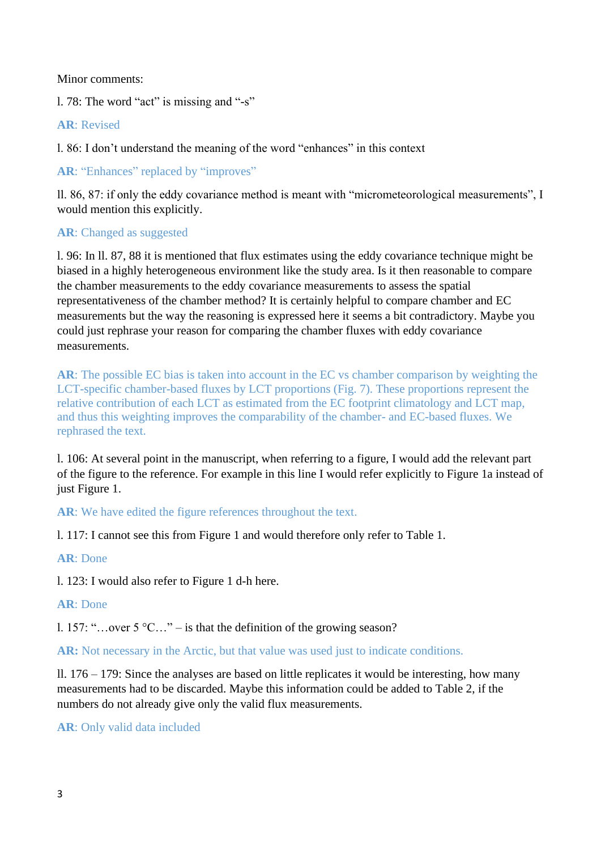Minor comments:

l. 78: The word "act" is missing and "-s"

**AR**: Revised

l. 86: I don't understand the meaning of the word "enhances" in this context

AR: "Enhances" replaced by "improves"

ll. 86, 87: if only the eddy covariance method is meant with "micrometeorological measurements", I would mention this explicitly.

## **AR**: Changed as suggested

l. 96: In ll. 87, 88 it is mentioned that flux estimates using the eddy covariance technique might be biased in a highly heterogeneous environment like the study area. Is it then reasonable to compare the chamber measurements to the eddy covariance measurements to assess the spatial representativeness of the chamber method? It is certainly helpful to compare chamber and EC measurements but the way the reasoning is expressed here it seems a bit contradictory. Maybe you could just rephrase your reason for comparing the chamber fluxes with eddy covariance measurements.

**AR**: The possible EC bias is taken into account in the EC vs chamber comparison by weighting the LCT-specific chamber-based fluxes by LCT proportions (Fig. 7). These proportions represent the relative contribution of each LCT as estimated from the EC footprint climatology and LCT map, and thus this weighting improves the comparability of the chamber- and EC-based fluxes. We rephrased the text.

l. 106: At several point in the manuscript, when referring to a figure, I would add the relevant part of the figure to the reference. For example in this line I would refer explicitly to Figure 1a instead of just Figure 1.

**AR**: We have edited the figure references throughout the text.

l. 117: I cannot see this from Figure 1 and would therefore only refer to Table 1.

# **AR**: Done

l. 123: I would also refer to Figure 1 d-h here.

### **AR**: Done

l. 157: "…over 5 °C…" – is that the definition of the growing season?

**AR:** Not necessary in the Arctic, but that value was used just to indicate conditions.

ll. 176 – 179: Since the analyses are based on little replicates it would be interesting, how many measurements had to be discarded. Maybe this information could be added to Table 2, if the numbers do not already give only the valid flux measurements.

**AR**: Only valid data included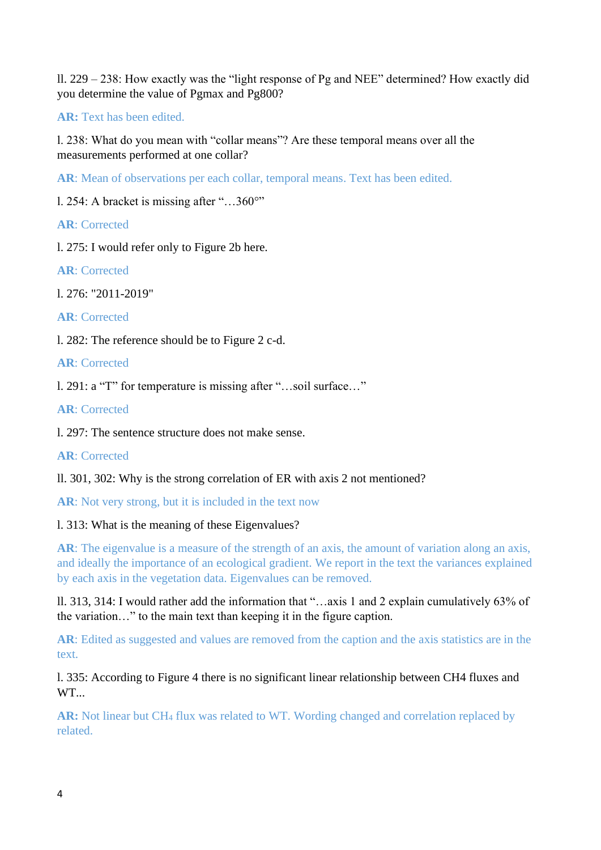ll. 229 – 238: How exactly was the "light response of Pg and NEE" determined? How exactly did you determine the value of Pgmax and Pg800?

**AR:** Text has been edited.

l. 238: What do you mean with "collar means"? Are these temporal means over all the measurements performed at one collar?

**AR**: Mean of observations per each collar, temporal means. Text has been edited.

l. 254: A bracket is missing after "…360°"

**AR**: Corrected

l. 275: I would refer only to Figure 2b here.

**AR**: Corrected

l. 276: "2011-2019"

**AR**: Corrected

l. 282: The reference should be to Figure 2 c-d.

**AR**: Corrected

l. 291: a "T" for temperature is missing after "…soil surface…"

**AR**: Corrected

l. 297: The sentence structure does not make sense.

**AR**: Corrected

ll. 301, 302: Why is the strong correlation of ER with axis 2 not mentioned?

**AR**: Not very strong, but it is included in the text now

# l. 313: What is the meaning of these Eigenvalues?

**AR**: The eigenvalue is a measure of the strength of an axis, the amount of variation along an axis, and ideally the importance of an ecological gradient. We report in the text the variances explained by each axis in the vegetation data. Eigenvalues can be removed.

ll. 313, 314: I would rather add the information that "…axis 1 and 2 explain cumulatively 63% of the variation…" to the main text than keeping it in the figure caption.

**AR**: Edited as suggested and values are removed from the caption and the axis statistics are in the text.

l. 335: According to Figure 4 there is no significant linear relationship between CH4 fluxes and WT.

**AR:** Not linear but CH<sup>4</sup> flux was related to WT. Wording changed and correlation replaced by related.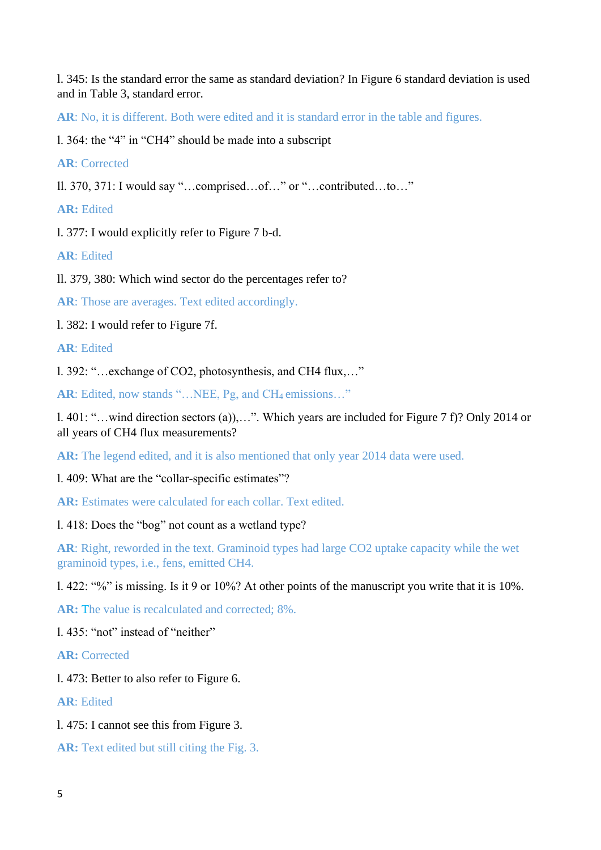l. 345: Is the standard error the same as standard deviation? In Figure 6 standard deviation is used and in Table 3, standard error.

**AR**: No, it is different. Both were edited and it is standard error in the table and figures.

l. 364: the "4" in "CH4" should be made into a subscript

**AR**: Corrected

ll. 370, 371: I would say "…comprised…of…" or "…contributed…to…"

**AR:** Edited

l. 377: I would explicitly refer to Figure 7 b-d.

**AR**: Edited

ll. 379, 380: Which wind sector do the percentages refer to?

AR: Those are averages. Text edited accordingly.

l. 382: I would refer to Figure 7f.

**AR**: Edited

l. 392: "…exchange of CO2, photosynthesis, and CH4 flux,…"

AR: Edited, now stands "...NEE, Pg, and CH<sub>4</sub> emissions..."

l. 401: "…wind direction sectors (a)),…". Which years are included for Figure 7 f)? Only 2014 or all years of CH4 flux measurements?

**AR:** The legend edited, and it is also mentioned that only year 2014 data were used.

l. 409: What are the "collar-specific estimates"?

**AR:** Estimates were calculated for each collar. Text edited.

l. 418: Does the "bog" not count as a wetland type?

**AR**: Right, reworded in the text. Graminoid types had large CO2 uptake capacity while the wet graminoid types, i.e., fens, emitted CH4.

l. 422: "%" is missing. Is it 9 or 10%? At other points of the manuscript you write that it is 10%.

**AR:** The value is recalculated and corrected; 8%.

l. 435: "not" instead of "neither"

**AR:** Corrected

l. 473: Better to also refer to Figure 6.

**AR**: Edited

l. 475: I cannot see this from Figure 3.

**AR:** Text edited but still citing the Fig. 3.